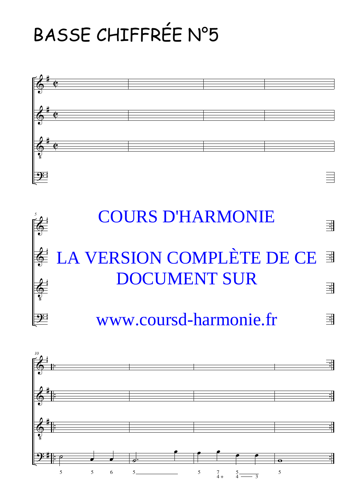## BASSE CHIFFRÉE N°5